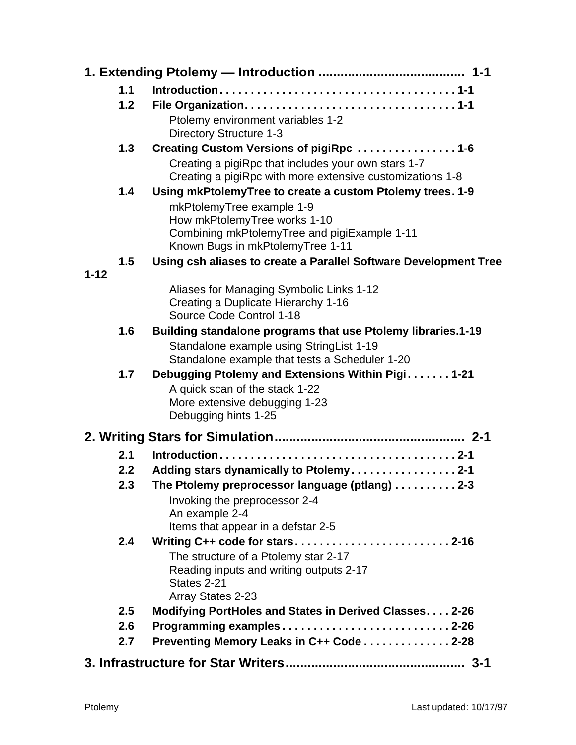|          | 1.1 |                                                                  |
|----------|-----|------------------------------------------------------------------|
|          | 1.2 |                                                                  |
|          |     | Ptolemy environment variables 1-2                                |
|          |     | <b>Directory Structure 1-3</b>                                   |
|          | 1.3 | Creating Custom Versions of pigiRpc 1-6                          |
|          |     | Creating a pigiRpc that includes your own stars 1-7              |
|          |     | Creating a pigiRpc with more extensive customizations 1-8        |
|          | 1.4 | Using mkPtolemyTree to create a custom Ptolemy trees. 1-9        |
|          |     | mkPtolemyTree example 1-9                                        |
|          |     | How mkPtolemyTree works 1-10                                     |
|          |     | Combining mkPtolemyTree and pigiExample 1-11                     |
|          | 1.5 | Known Bugs in mkPtolemyTree 1-11                                 |
| $1 - 12$ |     | Using csh aliases to create a Parallel Software Development Tree |
|          |     | Aliases for Managing Symbolic Links 1-12                         |
|          |     | Creating a Duplicate Hierarchy 1-16                              |
|          |     | Source Code Control 1-18                                         |
|          | 1.6 | Building standalone programs that use Ptolemy libraries.1-19     |
|          |     | Standalone example using StringList 1-19                         |
|          |     | Standalone example that tests a Scheduler 1-20                   |
|          | 1.7 | Debugging Ptolemy and Extensions Within Pigi1-21                 |
|          |     | A quick scan of the stack 1-22                                   |
|          |     | More extensive debugging 1-23                                    |
|          |     | Debugging hints 1-25                                             |
|          |     |                                                                  |
|          | 2.1 |                                                                  |
|          | 2.2 | Adding stars dynamically to Ptolemy2-1                           |
|          | 2.3 | The Ptolemy preprocessor language (ptlang) 2-3                   |
|          |     | Invoking the preprocessor 2-4                                    |
|          |     | An example 2-4                                                   |
|          |     | Items that appear in a defstar 2-5                               |
|          | 2.4 |                                                                  |
|          |     | The structure of a Ptolemy star 2-17                             |
|          |     | Reading inputs and writing outputs 2-17                          |
|          |     | States 2-21                                                      |
|          |     | Array States 2-23                                                |
|          | 2.5 | Modifying PortHoles and States in Derived Classes 2-26           |
|          | 2.6 | Programming examples2-26                                         |
|          | 2.7 | Preventing Memory Leaks in C++ Code 2-28                         |
|          |     | $3 - 1$                                                          |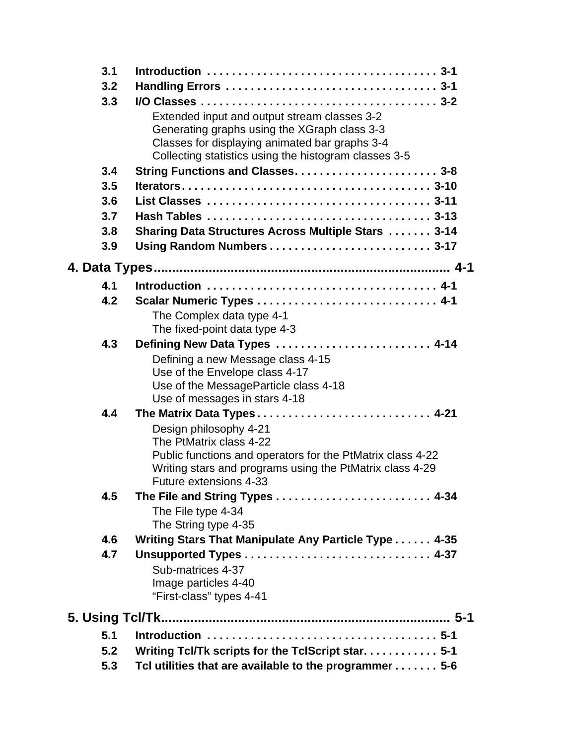| 3.1 |                                                            |
|-----|------------------------------------------------------------|
| 3.2 |                                                            |
| 3.3 |                                                            |
|     | Extended input and output stream classes 3-2               |
|     | Generating graphs using the XGraph class 3-3               |
|     | Classes for displaying animated bar graphs 3-4             |
|     | Collecting statistics using the histogram classes 3-5      |
| 3.4 | String Functions and Classes 3-8                           |
| 3.5 |                                                            |
| 3.6 |                                                            |
| 3.7 |                                                            |
| 3.8 | <b>Sharing Data Structures Across Multiple Stars  3-14</b> |
| 3.9 |                                                            |
|     |                                                            |
| 4.1 |                                                            |
| 4.2 | Scalar Numeric Types  4-1                                  |
|     | The Complex data type 4-1                                  |
|     | The fixed-point data type 4-3                              |
| 4.3 | Defining New Data Types  4-14                              |
|     | Defining a new Message class 4-15                          |
|     | Use of the Envelope class 4-17                             |
|     | Use of the MessageParticle class 4-18                      |
|     | Use of messages in stars 4-18                              |
| 4.4 | The Matrix Data Types 4-21                                 |
|     | Design philosophy 4-21<br>The PtMatrix class 4-22          |
|     | Public functions and operators for the PtMatrix class 4-22 |
|     | Writing stars and programs using the PtMatrix class 4-29   |
|     | Future extensions 4-33                                     |
| 4.5 |                                                            |
|     | The File type 4-34                                         |
|     | The String type 4-35                                       |
| 4.6 | Writing Stars That Manipulate Any Particle Type 4-35       |
| 4.7 |                                                            |
|     | Sub-matrices 4-37                                          |
|     | Image particles 4-40                                       |
|     | "First-class" types 4-41                                   |
|     |                                                            |
| 5.1 |                                                            |
| 5.2 | Writing Tcl/Tk scripts for the TclScript star 5-1          |
| 5.3 | Tcl utilities that are available to the programmer 5-6     |
|     |                                                            |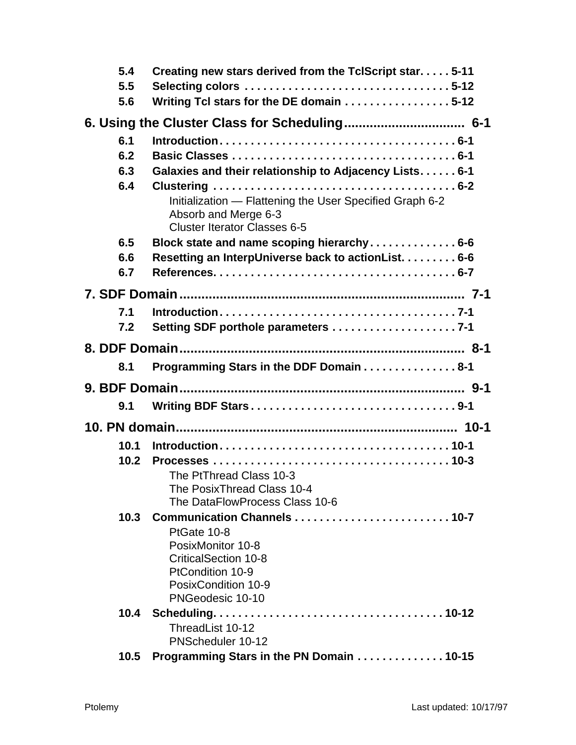| 5.4  | Creating new stars derived from the TclScript star5-11                                                                  |
|------|-------------------------------------------------------------------------------------------------------------------------|
| 5.5  |                                                                                                                         |
| 5.6  | Writing Tcl stars for the DE domain 5-12                                                                                |
|      |                                                                                                                         |
| 6.1  |                                                                                                                         |
| 6.2  |                                                                                                                         |
| 6.3  | Galaxies and their relationship to Adjacency Lists. 6-1                                                                 |
| 6.4  |                                                                                                                         |
|      | Initialization - Flattening the User Specified Graph 6-2<br>Absorb and Merge 6-3<br><b>Cluster Iterator Classes 6-5</b> |
| 6.5  | Block state and name scoping hierarchy 6-6                                                                              |
| 6.6  | Resetting an InterpUniverse back to actionList. 6-6                                                                     |
| 6.7  |                                                                                                                         |
|      |                                                                                                                         |
| 7.1  |                                                                                                                         |
| 7.2  |                                                                                                                         |
|      |                                                                                                                         |
| 8.1  | Programming Stars in the DDF Domain 8-1                                                                                 |
|      |                                                                                                                         |
| 9.1  |                                                                                                                         |
|      |                                                                                                                         |
| 10.1 |                                                                                                                         |
| 10.2 |                                                                                                                         |
|      | The PtThread Class 10-3                                                                                                 |
|      | The PosixThread Class 10-4<br>The DataFlowProcess Class 10-6                                                            |
| 10.3 |                                                                                                                         |
|      | PtGate 10-8                                                                                                             |
|      | PosixMonitor 10-8                                                                                                       |
|      | <b>CriticalSection 10-8</b>                                                                                             |
|      | PtCondition 10-9                                                                                                        |
|      | PosixCondition 10-9                                                                                                     |
|      | PNGeodesic 10-10                                                                                                        |
| 10.4 |                                                                                                                         |
|      | ThreadList 10-12<br>PNScheduler 10-12                                                                                   |
| 10.5 | Programming Stars in the PN Domain 10-15                                                                                |
|      |                                                                                                                         |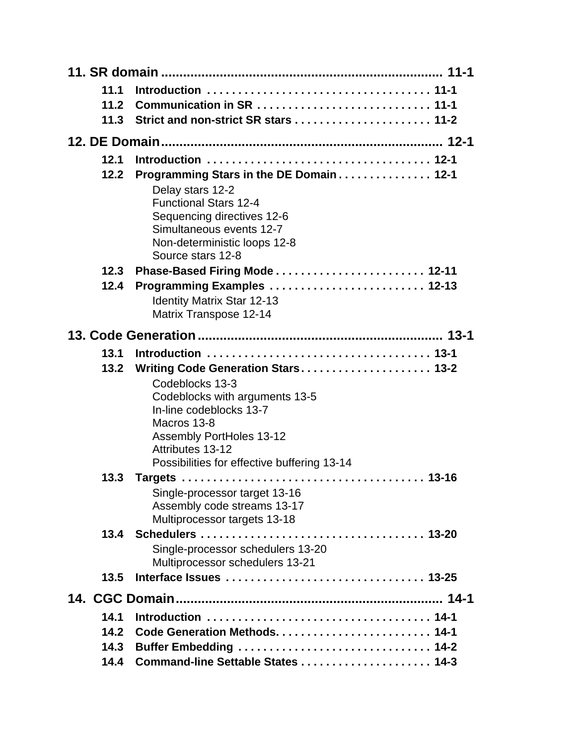| 11.1 |                                                              |
|------|--------------------------------------------------------------|
| 11.2 |                                                              |
| 11.3 |                                                              |
|      |                                                              |
| 12.1 |                                                              |
| 12.2 | Programming Stars in the DE Domain 12-1                      |
|      | Delay stars 12-2                                             |
|      | <b>Functional Stars 12-4</b>                                 |
|      | Sequencing directives 12-6<br>Simultaneous events 12-7       |
|      | Non-deterministic loops 12-8                                 |
|      | Source stars 12-8                                            |
| 12.3 |                                                              |
| 12.4 | Programming Examples  12-13                                  |
|      | <b>Identity Matrix Star 12-13</b>                            |
|      | Matrix Transpose 12-14                                       |
|      |                                                              |
| 13.1 |                                                              |
| 13.2 | Writing Code Generation Stars 13-2                           |
|      | Codeblocks 13-3                                              |
|      | Codeblocks with arguments 13-5<br>In-line codeblocks 13-7    |
|      | Macros 13-8                                                  |
|      | <b>Assembly PortHoles 13-12</b>                              |
|      | Attributes 13-12                                             |
|      | Possibilities for effective buffering 13-14                  |
| 13.3 |                                                              |
|      | Single-processor target 13-16<br>Assembly code streams 13-17 |
|      | Multiprocessor targets 13-18                                 |
| 13.4 |                                                              |
|      | Single-processor schedulers 13-20                            |
|      | Multiprocessor schedulers 13-21                              |
| 13.5 |                                                              |
|      |                                                              |
| 14.1 |                                                              |
| 14.2 | Code Generation Methods 14-1                                 |
| 14.3 | Buffer Embedding  14-2                                       |
| 14.4 | Command-line Settable States  14-3                           |